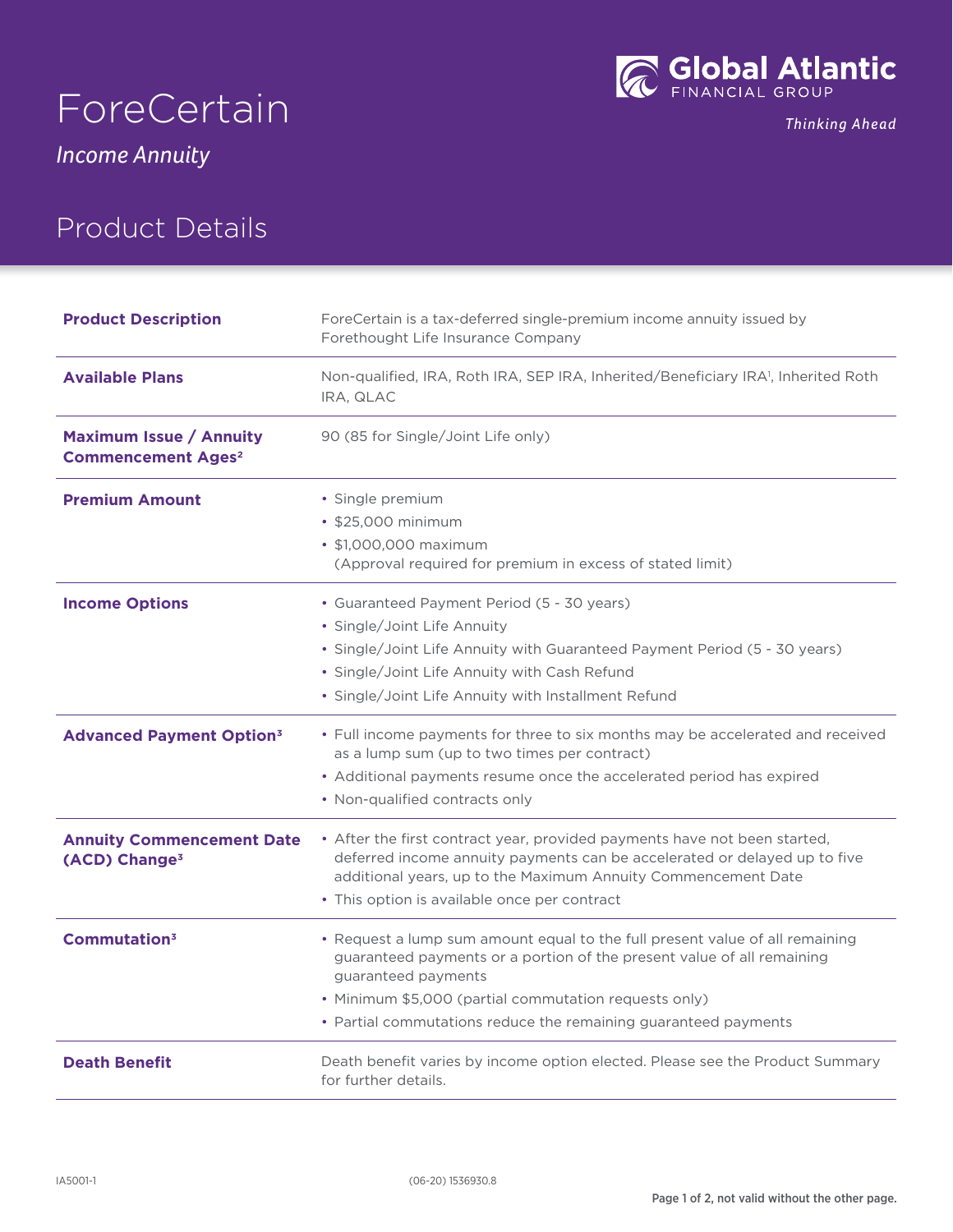



Thinking Ahead

*Income Annuity*

# Product Details

| <b>Product Description</b>                                             | ForeCertain is a tax-deferred single-premium income annuity issued by<br>Forethought Life Insurance Company                                                                                                             |
|------------------------------------------------------------------------|-------------------------------------------------------------------------------------------------------------------------------------------------------------------------------------------------------------------------|
| <b>Available Plans</b>                                                 | Non-qualified, IRA, Roth IRA, SEP IRA, Inherited/Beneficiary IRA <sup>1</sup> , Inherited Roth<br>IRA, QLAC                                                                                                             |
| <b>Maximum Issue / Annuity</b><br><b>Commencement Ages<sup>2</sup></b> | 90 (85 for Single/Joint Life only)                                                                                                                                                                                      |
| <b>Premium Amount</b>                                                  | · Single premium                                                                                                                                                                                                        |
|                                                                        | • \$25,000 minimum                                                                                                                                                                                                      |
|                                                                        | • \$1,000,000 maximum<br>(Approval required for premium in excess of stated limit)                                                                                                                                      |
| <b>Income Options</b>                                                  | • Guaranteed Payment Period (5 - 30 years)                                                                                                                                                                              |
|                                                                        | • Single/Joint Life Annuity                                                                                                                                                                                             |
|                                                                        | • Single/Joint Life Annuity with Guaranteed Payment Period (5 - 30 years)                                                                                                                                               |
|                                                                        | · Single/Joint Life Annuity with Cash Refund                                                                                                                                                                            |
|                                                                        | • Single/Joint Life Annuity with Installment Refund                                                                                                                                                                     |
| <b>Advanced Payment Option<sup>3</sup></b>                             | • Full income payments for three to six months may be accelerated and received<br>as a lump sum (up to two times per contract)                                                                                          |
|                                                                        | • Additional payments resume once the accelerated period has expired                                                                                                                                                    |
|                                                                        | • Non-qualified contracts only                                                                                                                                                                                          |
| <b>Annuity Commencement Date</b><br>(ACD) Change <sup>3</sup>          | • After the first contract year, provided payments have not been started,<br>deferred income annuity payments can be accelerated or delayed up to five<br>additional years, up to the Maximum Annuity Commencement Date |
|                                                                        | • This option is available once per contract                                                                                                                                                                            |
| Commutation <sup>3</sup>                                               | • Request a lump sum amount equal to the full present value of all remaining<br>guaranteed payments or a portion of the present value of all remaining<br>guaranteed payments                                           |
|                                                                        | • Minimum \$5,000 (partial commutation requests only)                                                                                                                                                                   |
|                                                                        | • Partial commutations reduce the remaining guaranteed payments                                                                                                                                                         |
| <b>Death Benefit</b>                                                   | Death benefit varies by income option elected. Please see the Product Summary<br>for further details.                                                                                                                   |